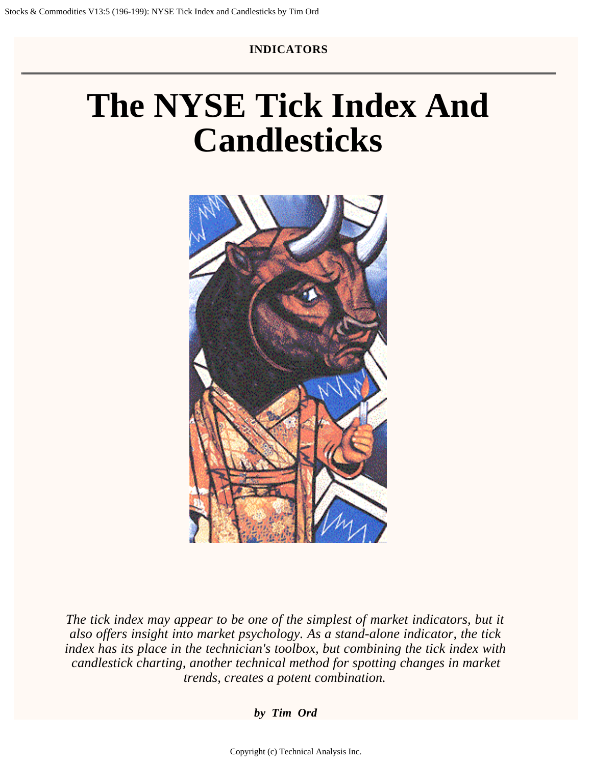#### **INDICATORS**

# **The NYSE Tick Index And Candlesticks**



*The tick index may appear to be one of the simplest of market indicators, but it also offers insight into market psychology. As a stand-alone indicator, the tick index has its place in the technician's toolbox, but combining the tick index with candlestick charting, another technical method for spotting changes in market trends, creates a potent combination.*

*by Tim Ord*

Copyright (c) Technical Analysis Inc.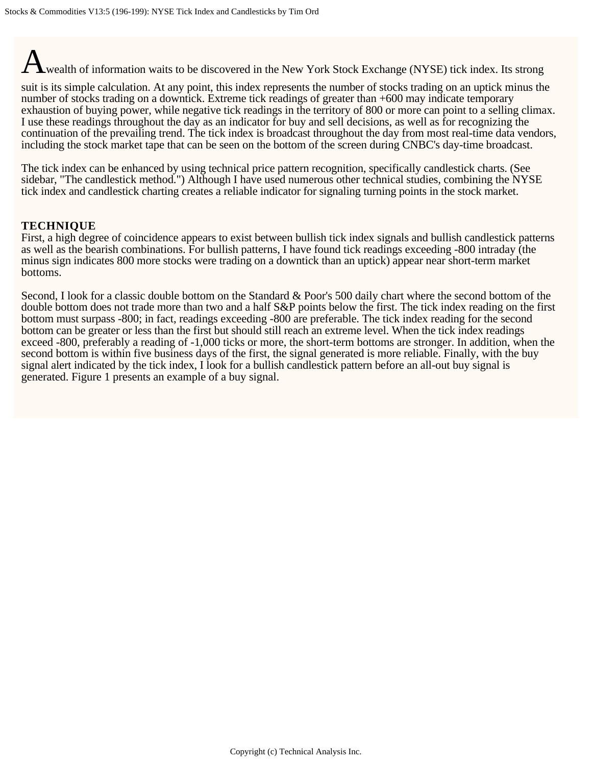wealth of information waits to be discovered in the New York Stock Exchange (NYSE) tick index. Its strong

suit is its simple calculation. At any point, this index represents the number of stocks trading on an uptick minus the number of stocks trading on a downtick. Extreme tick readings of greater than +600 may indicate temporary exhaustion of buying power, while negative tick readings in the territory of 800 or more can point to a selling climax. I use these readings throughout the day as an indicator for buy and sell decisions, as well as for recognizing the continuation of the prevailing trend. The tick index is broadcast throughout the day from most real-time data vendors, including the stock market tape that can be seen on the bottom of the screen during CNBC's day-time broadcast.

The tick index can be enhanced by using technical price pattern recognition, specifically candlestick charts. (See sidebar, "The candlestick method.") Although I have used numerous other technical studies, combining the NYSE tick index and candlestick charting creates a reliable indicator for signaling turning points in the stock market.

#### **TECHNIQUE**

First, a high degree of coincidence appears to exist between bullish tick index signals and bullish candlestick patterns as well as the bearish combinations. For bullish patterns, I have found tick readings exceeding -800 intraday (the minus sign indicates 800 more stocks were trading on a downtick than an uptick) appear near short-term market bottoms.

Second, I look for a classic double bottom on the Standard & Poor's 500 daily chart where the second bottom of the double bottom does not trade more than two and a half S&P points below the first. The tick index reading on the first bottom must surpass -800; in fact, readings exceeding -800 are preferable. The tick index reading for the second bottom can be greater or less than the first but should still reach an extreme level. When the tick index readings exceed -800, preferably a reading of -1,000 ticks or more, the short-term bottoms are stronger. In addition, when the second bottom is within five business days of the first, the signal generated is more reliable. Finally, with the buy signal alert indicated by the tick index, I look for a bullish candlestick pattern before an all-out buy signal is generated. Figure 1 presents an example of a buy signal.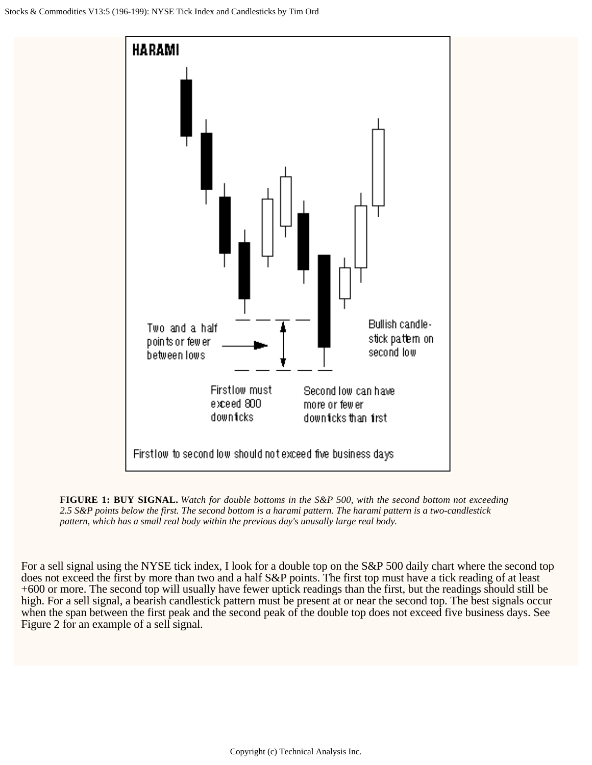

**FIGURE 1: BUY SIGNAL.** *Watch for double bottoms in the S&P 500, with the second bottom not exceeding 2.5 S&P points below the first. The second bottom is a harami pattern. The harami pattern is a two-candlestick pattern, which has a small real body within the previous day's unusally large real body.* 

For a sell signal using the NYSE tick index, I look for a double top on the S&P 500 daily chart where the second top does not exceed the first by more than two and a half S&P points. The first top must have a tick reading of at least +600 or more. The second top will usually have fewer uptick readings than the first, but the readings should still be high. For a sell signal, a bearish candlestick pattern must be present at or near the second top. The best signals occur when the span between the first peak and the second peak of the double top does not exceed five business days. See Figure 2 for an example of a sell signal.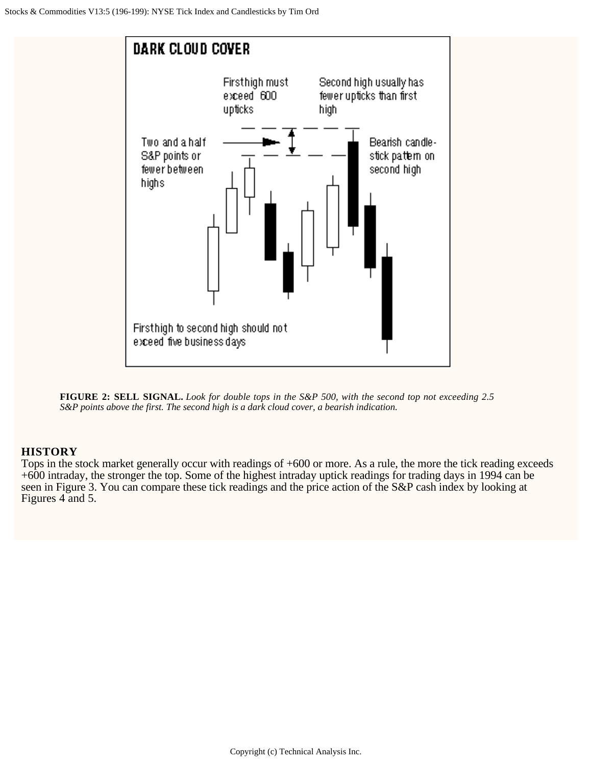

**FIGURE 2: SELL SIGNAL.** *Look for double tops in the S&P 500, with the second top not exceeding 2.5 S&P points above the first. The second high is a dark cloud cover, a bearish indication.* 

#### **HISTORY**

Tops in the stock market generally occur with readings of +600 or more. As a rule, the more the tick reading exceeds +600 intraday, the stronger the top. Some of the highest intraday uptick readings for trading days in 1994 can be seen in Figure 3. You can compare these tick readings and the price action of the S&P cash index by looking at Figures 4 and 5.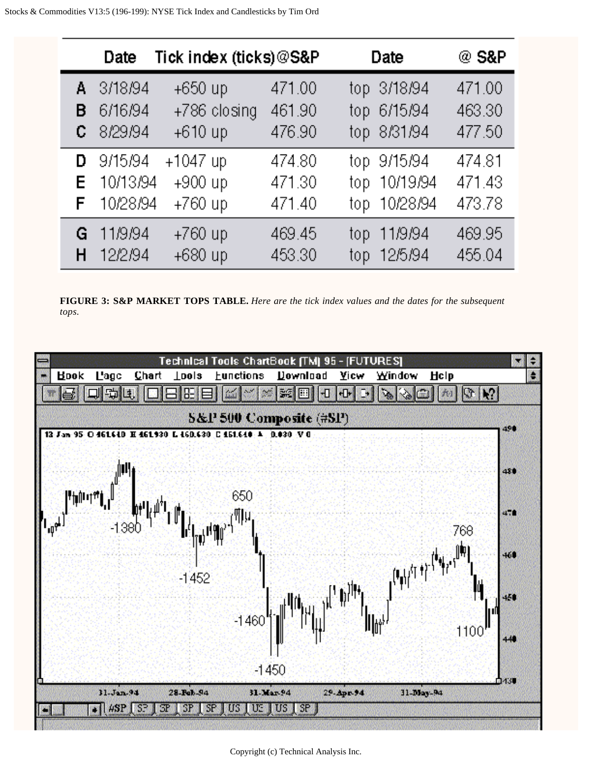|    | Date                                | Tick index (ticks) @S&P                       |                            | Date                                                       | @ S&P                      |
|----|-------------------------------------|-----------------------------------------------|----------------------------|------------------------------------------------------------|----------------------------|
| в  | A 3/18/94<br>6/16/94<br>$C$ 8/29/94 | $+650$ up<br>+786 closing                     | 471.00<br>461.90<br>476.90 | top 3/18/94<br>top 6/15/94                                 | 471.00<br>463.30<br>477.50 |
| D  | 9/15/94<br>E 10/13/94<br>F 10/28/94 | $+610$ up<br>$+1047$ up<br>+900 up<br>+760 up | 474.80<br>471.30<br>471.40 | top 8/31/94<br>top 9/15/94<br>top 10/19/94<br>top 10/28/94 | 474.81<br>471.43<br>473.78 |
| G. | - 11/9/94<br>12/2/94                | $+760$ up<br>+680 up                          | 469.45<br>453.30           | 11/9/94<br>top.<br>top 12/5/94                             | 469.95<br>455.04           |

**FIGURE 3: S&P MARKET TOPS TABLE.** *Here are the tick index values and the dates for the subsequent tops.*



Copyright (c) Technical Analysis Inc.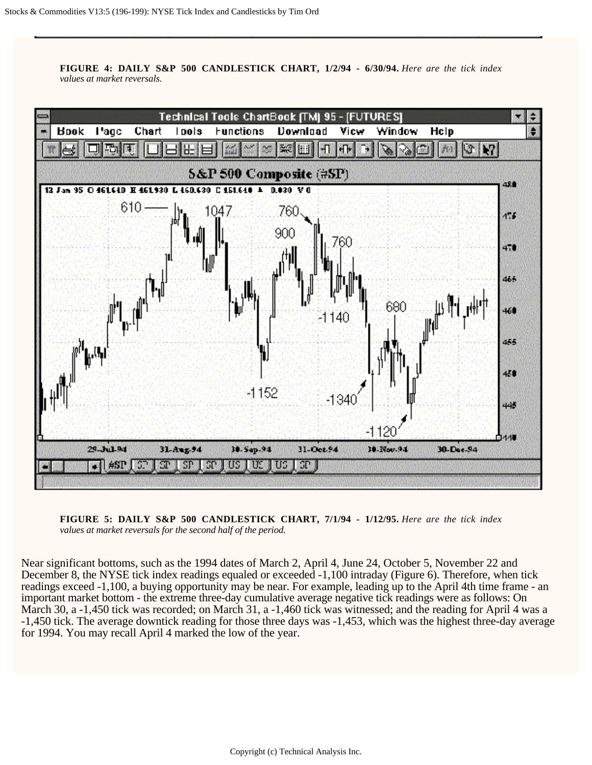**FIGURE 4: DAILY S&P 500 CANDLESTICK CHART, 1/2/94 - 6/30/94.** *Here are the tick index values at market reversals.* 



**FIGURE 5: DAILY S&P 500 CANDLESTICK CHART, 7/1/94 - 1/12/95.** *Here are the tick index values at market reversals for the second half of the period.*

Near significant bottoms, such as the 1994 dates of March 2, April 4, June 24, October 5, November 22 and December 8, the NYSE tick index readings equaled or exceeded -1,100 intraday (Figure 6). Therefore, when tick readings exceed -1,100, a buying opportunity may be near. For example, leading up to the April 4th time frame - an important market bottom - the extreme three-day cumulative average negative tick readings were as follows: On March 30, a -1,450 tick was recorded; on March 31, a -1,460 tick was witnessed; and the reading for April 4 was a -1,450 tick. The average downtick reading for those three days was -1,453, which was the highest three-day average for 1994. You may recall April 4 marked the low of the year.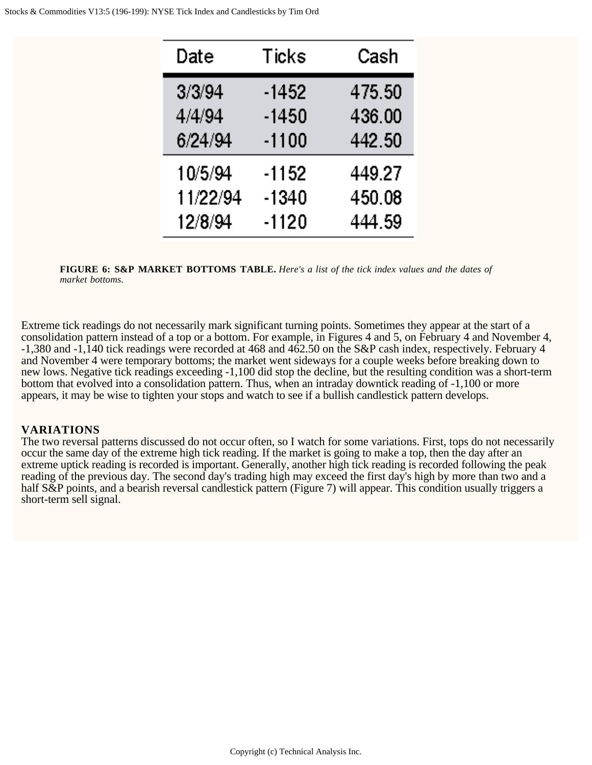| Date     | Ticks   | Cash   |
|----------|---------|--------|
| 3/3/94   | -1452   | 475.50 |
| 4/4/94   | -1450   | 436.00 |
| 6/24/94  | $-1100$ | 442.50 |
| 10/5/94  | $-1152$ | 449.27 |
| 11/22/94 | $-1340$ | 450.08 |
| 12/8/94  | -1120   | 444.59 |

**FIGURE 6: S&P MARKET BOTTOMS TABLE.** *Here's a list of the tick index values and the dates of market bottoms.*

Extreme tick readings do not necessarily mark significant turning points. Sometimes they appear at the start of a consolidation pattern instead of a top or a bottom. For example, in Figures 4 and 5, on February 4 and November 4, -1,380 and -1,140 tick readings were recorded at 468 and 462.50 on the S&P cash index, respectively. February 4 and November 4 were temporary bottoms; the market went sideways for a couple weeks before breaking down to new lows. Negative tick readings exceeding -1,100 did stop the decline, but the resulting condition was a short-term bottom that evolved into a consolidation pattern. Thus, when an intraday downtick reading of -1,100 or more appears, it may be wise to tighten your stops and watch to see if a bullish candlestick pattern develops.

#### **VARIATIONS**

The two reversal patterns discussed do not occur often, so I watch for some variations. First, tops do not necessarily occur the same day of the extreme high tick reading. If the market is going to make a top, then the day after an extreme uptick reading is recorded is important. Generally, another high tick reading is recorded following the peak reading of the previous day. The second day's trading high may exceed the first day's high by more than two and a half S&P points, and a bearish reversal candlestick pattern (Figure 7) will appear. This condition usually triggers a short-term sell signal.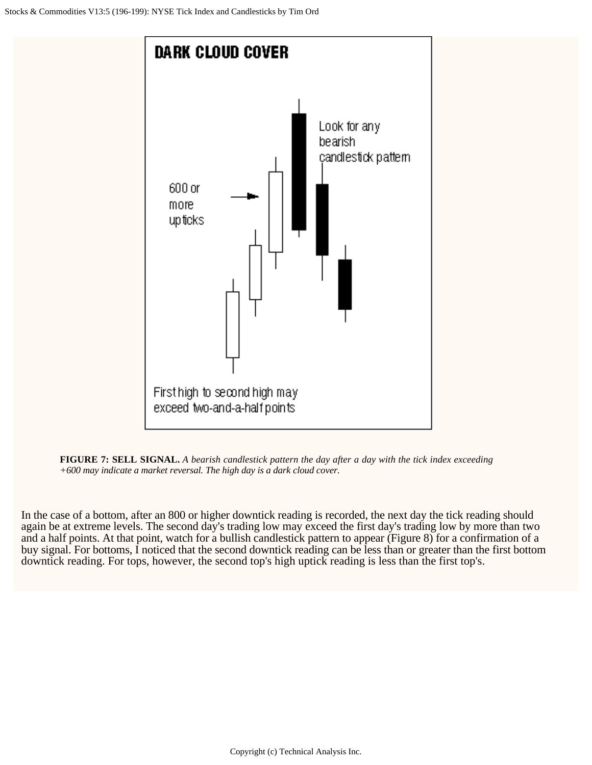



In the case of a bottom, after an 800 or higher downtick reading is recorded, the next day the tick reading should again be at extreme levels. The second day's trading low may exceed the first day's trading low by more than two and a half points. At that point, watch for a bullish candlestick pattern to appear (Figure 8) for a confirmation of a buy signal. For bottoms, I noticed that the second downtick reading can be less than or greater than the first bottom downtick reading. For tops, however, the second top's high uptick reading is less than the first top's.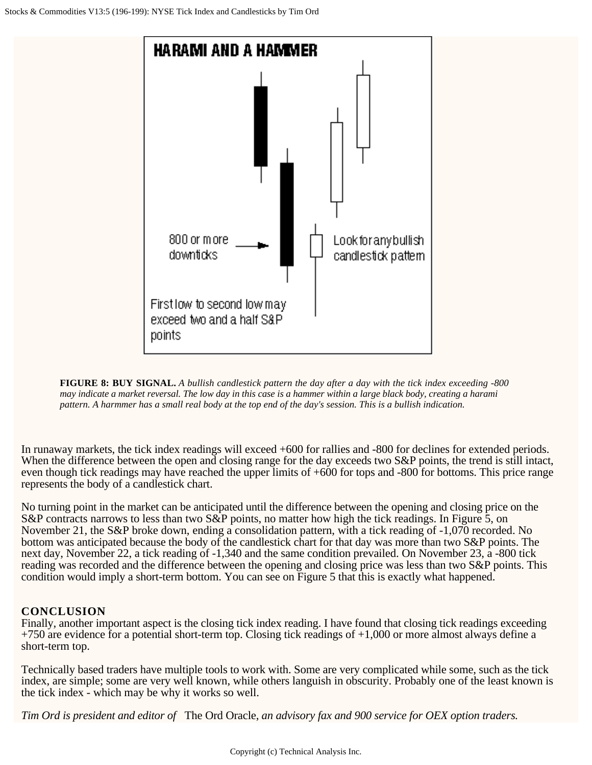

**FIGURE 8: BUY SIGNAL.** *A bullish candlestick pattern the day after a day with the tick index exceeding -800 may indicate a market reversal. The low day in this case is a hammer within a large black body, creating a harami pattern. A harmmer has a small real body at the top end of the day's session. This is a bullish indication.*

In runaway markets, the tick index readings will exceed +600 for rallies and -800 for declines for extended periods. When the difference between the open and closing range for the day exceeds two S&P points, the trend is still intact, even though tick readings may have reached the upper limits of +600 for tops and -800 for bottoms. This price range represents the body of a candlestick chart.

No turning point in the market can be anticipated until the difference between the opening and closing price on the S&P contracts narrows to less than two S&P points, no matter how high the tick readings. In Figure 5, on November 21, the S&P broke down, ending a consolidation pattern, with a tick reading of -1,070 recorded. No bottom was anticipated because the body of the candlestick chart for that day was more than two S&P points. The next day, November 22, a tick reading of -1,340 and the same condition prevailed. On November 23, a -800 tick reading was recorded and the difference between the opening and closing price was less than two S&P points. This condition would imply a short-term bottom. You can see on Figure 5 that this is exactly what happened.

### **CONCLUSION**

Finally, another important aspect is the closing tick index reading. I have found that closing tick readings exceeding  $+750$  are evidence for a potential short-term top. Closing tick readings of  $+1,000$  or more almost always define a short-term top.

Technically based traders have multiple tools to work with. Some are very complicated while some, such as the tick index, are simple; some are very well known, while others languish in obscurity. Probably one of the least known is the tick index - which may be why it works so well.

*Tim Ord is president and editor of* The Ord Oracle, *an advisory fax and 900 service for OEX option traders.*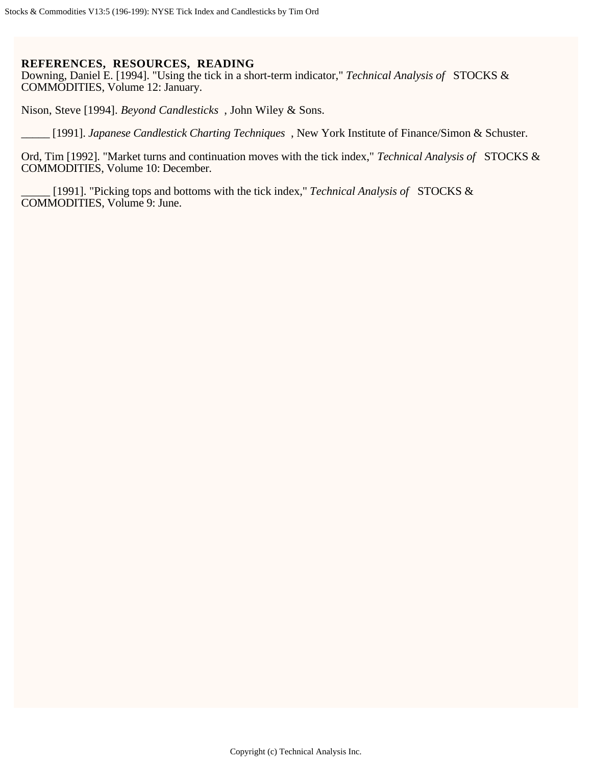#### **REFERENCES, RESOURCES, READING**

Downing, Daniel E. [1994]. "Using the tick in a short-term indicator," *Technical Analysis of* STOCKS & COMMODITIES, Volume 12: January.

Nison, Steve [1994]. *Beyond Candlesticks* , John Wiley & Sons.

\_\_\_\_\_ [1991]. *Japanese Candlestick Charting Techniques* , New York Institute of Finance/Simon & Schuster.

Ord, Tim [1992]. "Market turns and continuation moves with the tick index," *Technical Analysis of* STOCKS & COMMODITIES, Volume 10: December.

\_\_\_\_\_ [1991]. "Picking tops and bottoms with the tick index," *Technical Analysis of* STOCKS & COMMODITIES, Volume 9: June.